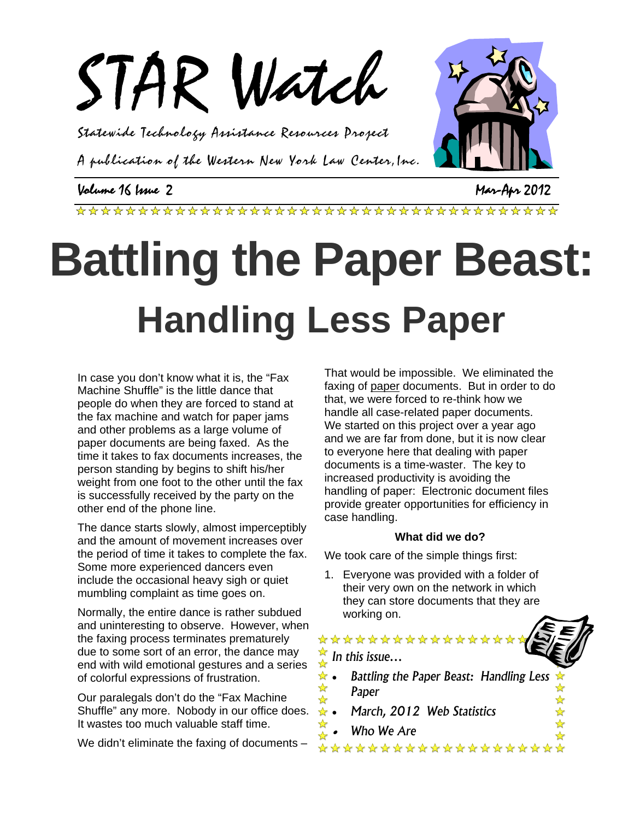

Statewide Technology Assistance Resources Project

A publication of the Western New York Law Center,Inc.

### Volume 16 Issue 2 Mar-Apr 2012

# **Battling the Paper Beast: Handling Less Paper**

In case you don't know what it is, the "Fax Machine Shuffle" is the little dance that people do when they are forced to stand at the fax machine and watch for paper jams and other problems as a large volume of paper documents are being faxed. As the time it takes to fax documents increases, the person standing by begins to shift his/her weight from one foot to the other until the fax is successfully received by the party on the other end of the phone line.

The dance starts slowly, almost imperceptibly and the amount of movement increases over the period of time it takes to complete the fax. Some more experienced dancers even include the occasional heavy sigh or quiet mumbling complaint as time goes on.

Normally, the entire dance is rather subdued and uninteresting to observe. However, when the faxing process terminates prematurely due to some sort of an error, the dance may end with wild emotional gestures and a series of colorful expressions of frustration.

Our paralegals don't do the "Fax Machine Shuffle" any more. Nobody in our office does. It wastes too much valuable staff time.

We didn't eliminate the faxing of documents –

That would be impossible. We eliminated the faxing of paper documents. But in order to do that, we were forced to re-think how we handle all case-related paper documents. We started on this project over a year ago and we are far from done, but it is now clear to everyone here that dealing with paper documents is a time-waster. The key to increased productivity is avoiding the handling of paper: Electronic document files provide greater opportunities for efficiency in case handling.

#### **What did we do?**

We took care of the simple things first:

1. Everyone was provided with a folder of their very own on the network in which they can store documents that they are working on.

## \*\*\*\*\*\*\*\*\*\*\*\*\*\*\*\*\* *In this issue…*  • *Battling the Paper Beast: Handling Less*

*Paper* 

\*\*\*\*\*\*\*\*\*\*\*\*\*\*\*\*\*\*\*\*

- *March, 2012 Web Statistics*
- ☆ • *Who We Are*

☆ ☆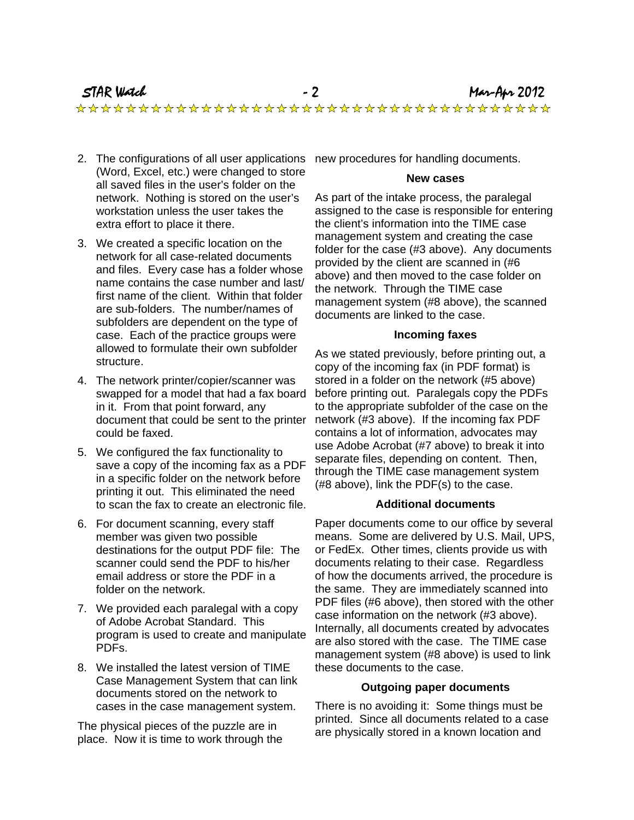- 2. The configurations of all user applications new procedures for handling documents. (Word, Excel, etc.) were changed to store all saved files in the user's folder on the network. Nothing is stored on the user's workstation unless the user takes the extra effort to place it there.
- 3. We created a specific location on the network for all case-related documents and files. Every case has a folder whose name contains the case number and last/ first name of the client. Within that folder are sub-folders. The number/names of subfolders are dependent on the type of case. Each of the practice groups were allowed to formulate their own subfolder structure.
- 4. The network printer/copier/scanner was swapped for a model that had a fax board in it. From that point forward, any document that could be sent to the printer could be faxed.
- 5. We configured the fax functionality to save a copy of the incoming fax as a PDF in a specific folder on the network before printing it out. This eliminated the need to scan the fax to create an electronic file.
- 6. For document scanning, every staff member was given two possible destinations for the output PDF file: The scanner could send the PDF to his/her email address or store the PDF in a folder on the network.
- 7. We provided each paralegal with a copy of Adobe Acrobat Standard. This program is used to create and manipulate PDFs.
- 8. We installed the latest version of TIME Case Management System that can link documents stored on the network to cases in the case management system.

The physical pieces of the puzzle are in place. Now it is time to work through the

#### **New cases**

As part of the intake process, the paralegal assigned to the case is responsible for entering the client's information into the TIME case management system and creating the case folder for the case (#3 above). Any documents provided by the client are scanned in (#6 above) and then moved to the case folder on the network. Through the TIME case management system (#8 above), the scanned documents are linked to the case.

#### **Incoming faxes**

As we stated previously, before printing out, a copy of the incoming fax (in PDF format) is stored in a folder on the network (#5 above) before printing out. Paralegals copy the PDFs to the appropriate subfolder of the case on the network (#3 above). If the incoming fax PDF contains a lot of information, advocates may use Adobe Acrobat (#7 above) to break it into separate files, depending on content. Then, through the TIME case management system (#8 above), link the PDF(s) to the case.

#### **Additional documents**

Paper documents come to our office by several means. Some are delivered by U.S. Mail, UPS, or FedEx. Other times, clients provide us with documents relating to their case. Regardless of how the documents arrived, the procedure is the same. They are immediately scanned into PDF files (#6 above), then stored with the other case information on the network (#3 above). Internally, all documents created by advocates are also stored with the case. The TIME case management system (#8 above) is used to link these documents to the case.

#### **Outgoing paper documents**

There is no avoiding it: Some things must be printed. Since all documents related to a case are physically stored in a known location and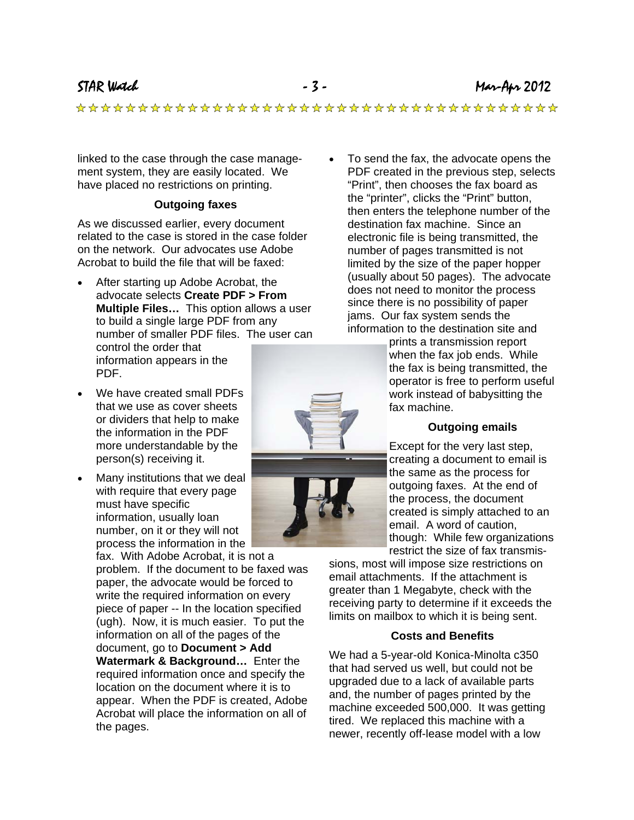STAR Watch - 3 - Mar-Apr 2012

linked to the case through the case management system, they are easily located. We have placed no restrictions on printing.

#### **Outgoing faxes**

As we discussed earlier, every document related to the case is stored in the case folder on the network. Our advocates use Adobe Acrobat to build the file that will be faxed:

- After starting up Adobe Acrobat, the advocate selects **Create PDF > From Multiple Files…** This option allows a user to build a single large PDF from any number of smaller PDF files. The user can control the order that information appears in the PDF.
- We have created small PDFs that we use as cover sheets or dividers that help to make the information in the PDF more understandable by the person(s) receiving it.
- Many institutions that we deal with require that every page must have specific information, usually loan number, on it or they will not

process the information in the fax. With Adobe Acrobat, it is not a problem. If the document to be faxed was paper, the advocate would be forced to write the required information on every piece of paper -- In the location specified (ugh). Now, it is much easier. To put the information on all of the pages of the document, go to **Document > Add Watermark & Background…** Enter the required information once and specify the location on the document where it is to appear. When the PDF is created, Adobe Acrobat will place the information on all of the pages.

• To send the fax, the advocate opens the PDF created in the previous step, selects "Print", then chooses the fax board as the "printer", clicks the "Print" button, then enters the telephone number of the destination fax machine. Since an electronic file is being transmitted, the number of pages transmitted is not limited by the size of the paper hopper (usually about 50 pages). The advocate does not need to monitor the process since there is no possibility of paper jams. Our fax system sends the information to the destination site and

prints a transmission report when the fax job ends. While the fax is being transmitted, the operator is free to perform useful work instead of babysitting the fax machine.

#### **Outgoing emails**

Except for the very last step, creating a document to email is the same as the process for outgoing faxes. At the end of the process, the document created is simply attached to an email. A word of caution, though: While few organizations restrict the size of fax transmis-

sions, most will impose size restrictions on email attachments. If the attachment is greater than 1 Megabyte, check with the receiving party to determine if it exceeds the limits on mailbox to which it is being sent.

#### **Costs and Benefits**

We had a 5-year-old Konica-Minolta c350 that had served us well, but could not be upgraded due to a lack of available parts and, the number of pages printed by the machine exceeded 500,000. It was getting tired. We replaced this machine with a newer, recently off-lease model with a low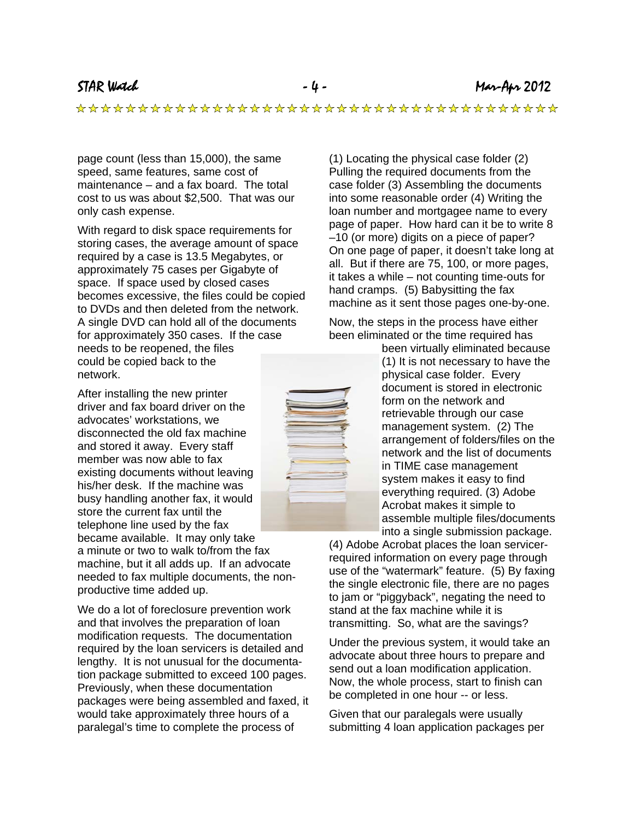page count (less than 15,000), the same speed, same features, same cost of maintenance – and a fax board. The total cost to us was about \$2,500. That was our only cash expense.

With regard to disk space requirements for storing cases, the average amount of space required by a case is 13.5 Megabytes, or approximately 75 cases per Gigabyte of space. If space used by closed cases becomes excessive, the files could be copied to DVDs and then deleted from the network. A single DVD can hold all of the documents for approximately 350 cases. If the case needs to be reopened, the files could be copied back to the network.

After installing the new printer driver and fax board driver on the advocates' workstations, we disconnected the old fax machine and stored it away. Every staff member was now able to fax existing documents without leaving his/her desk. If the machine was busy handling another fax, it would store the current fax until the telephone line used by the fax became available. It may only take

a minute or two to walk to/from the fax machine, but it all adds up. If an advocate needed to fax multiple documents, the nonproductive time added up.

We do a lot of foreclosure prevention work and that involves the preparation of loan modification requests. The documentation required by the loan servicers is detailed and lengthy. It is not unusual for the documentation package submitted to exceed 100 pages. Previously, when these documentation packages were being assembled and faxed, it would take approximately three hours of a paralegal's time to complete the process of

(1) Locating the physical case folder (2) Pulling the required documents from the case folder (3) Assembling the documents into some reasonable order (4) Writing the loan number and mortgagee name to every page of paper. How hard can it be to write 8 –10 (or more) digits on a piece of paper? On one page of paper, it doesn't take long at all. But if there are 75, 100, or more pages, it takes a while – not counting time-outs for hand cramps. (5) Babysitting the fax machine as it sent those pages one-by-one.

Now, the steps in the process have either been eliminated or the time required has



been virtually eliminated because (1) It is not necessary to have the physical case folder. Every document is stored in electronic form on the network and retrievable through our case management system. (2) The arrangement of folders/files on the network and the list of documents in TIME case management system makes it easy to find everything required. (3) Adobe Acrobat makes it simple to assemble multiple files/documents into a single submission package.

(4) Adobe Acrobat places the loan servicerrequired information on every page through use of the "watermark" feature. (5) By faxing the single electronic file, there are no pages to jam or "piggyback", negating the need to stand at the fax machine while it is transmitting. So, what are the savings?

Under the previous system, it would take an advocate about three hours to prepare and send out a loan modification application. Now, the whole process, start to finish can be completed in one hour -- or less.

Given that our paralegals were usually submitting 4 loan application packages per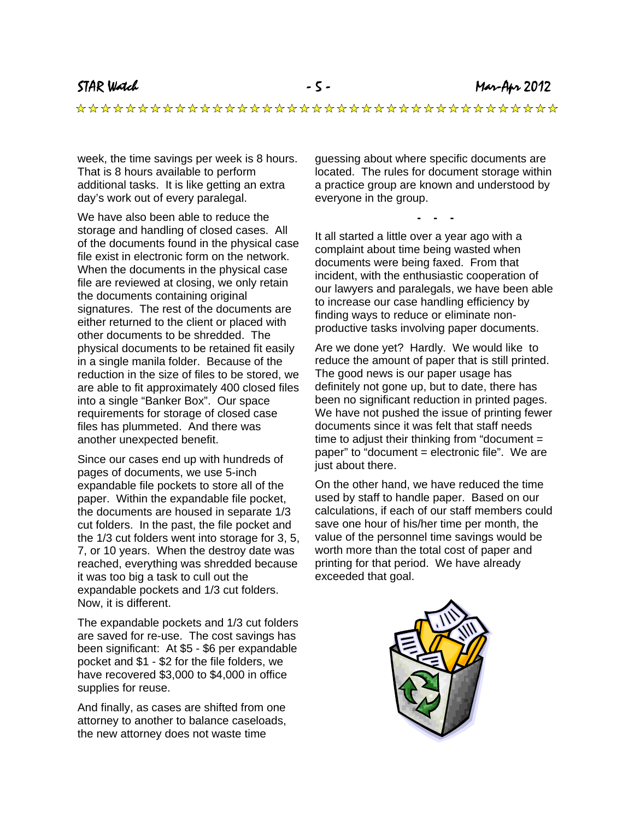week, the time savings per week is 8 hours. That is 8 hours available to perform additional tasks. It is like getting an extra day's work out of every paralegal.

We have also been able to reduce the storage and handling of closed cases. All of the documents found in the physical case file exist in electronic form on the network. When the documents in the physical case file are reviewed at closing, we only retain the documents containing original signatures. The rest of the documents are either returned to the client or placed with other documents to be shredded. The physical documents to be retained fit easily in a single manila folder. Because of the reduction in the size of files to be stored, we are able to fit approximately 400 closed files into a single "Banker Box". Our space requirements for storage of closed case files has plummeted. And there was another unexpected benefit.

Since our cases end up with hundreds of pages of documents, we use 5-inch expandable file pockets to store all of the paper. Within the expandable file pocket, the documents are housed in separate 1/3 cut folders. In the past, the file pocket and the 1/3 cut folders went into storage for 3, 5, 7, or 10 years. When the destroy date was reached, everything was shredded because it was too big a task to cull out the expandable pockets and 1/3 cut folders. Now, it is different.

The expandable pockets and 1/3 cut folders are saved for re-use. The cost savings has been significant: At \$5 - \$6 per expandable pocket and \$1 - \$2 for the file folders, we have recovered \$3,000 to \$4,000 in office supplies for reuse.

And finally, as cases are shifted from one attorney to another to balance caseloads, the new attorney does not waste time

guessing about where specific documents are located. The rules for document storage within a practice group are known and understood by everyone in the group.

**- - -** 

It all started a little over a year ago with a complaint about time being wasted when documents were being faxed. From that incident, with the enthusiastic cooperation of our lawyers and paralegals, we have been able to increase our case handling efficiency by finding ways to reduce or eliminate nonproductive tasks involving paper documents.

Are we done yet? Hardly. We would like to reduce the amount of paper that is still printed. The good news is our paper usage has definitely not gone up, but to date, there has been no significant reduction in printed pages. We have not pushed the issue of printing fewer documents since it was felt that staff needs time to adjust their thinking from "document = paper" to "document = electronic file". We are just about there.

On the other hand, we have reduced the time used by staff to handle paper. Based on our calculations, if each of our staff members could save one hour of his/her time per month, the value of the personnel time savings would be worth more than the total cost of paper and printing for that period. We have already exceeded that goal.